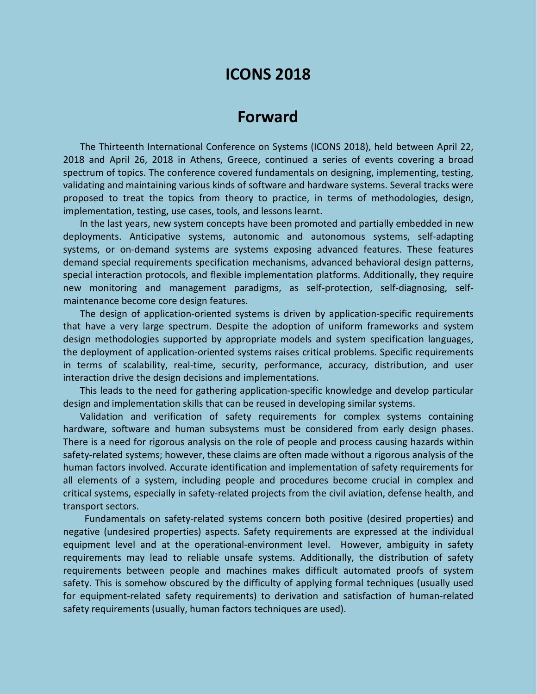# **ICONS 2018**

## **Forward**

The Thirteenth International Conference on Systems (ICONS 2018), held between April 22, 2018 and April 26, 2018 in Athens, Greece, continued a series of events covering a broad spectrum of topics. The conference covered fundamentals on designing, implementing, testing, validating and maintaining various kinds of software and hardware systems. Several tracks were proposed to treat the topics from theory to practice, in terms of methodologies, design, implementation, testing, use cases, tools, and lessons learnt.

In the last years, new system concepts have been promoted and partially embedded in new deployments. Anticipative systems, autonomic and autonomous systems, self-adapting systems, or on-demand systems are systems exposing advanced features. These features demand special requirements specification mechanisms, advanced behavioral design patterns, special interaction protocols, and flexible implementation platforms. Additionally, they require new monitoring and management paradigms, as self-protection, self-diagnosing, selfmaintenance become core design features.

The design of application-oriented systems is driven by application-specific requirements that have a very large spectrum. Despite the adoption of uniform frameworks and system design methodologies supported by appropriate models and system specification languages, the deployment of application-oriented systems raises critical problems. Specific requirements in terms of scalability, real-time, security, performance, accuracy, distribution, and user interaction drive the design decisions and implementations.

This leads to the need for gathering application-specific knowledge and develop particular design and implementation skills that can be reused in developing similar systems.

Validation and verification of safety requirements for complex systems containing hardware, software and human subsystems must be considered from early design phases. There is a need for rigorous analysis on the role of people and process causing hazards within safety-related systems; however, these claims are often made without a rigorous analysis of the human factors involved. Accurate identification and implementation of safety requirements for all elements of a system, including people and procedures become crucial in complex and critical systems, especially in safety-related projects from the civil aviation, defense health, and transport sectors.

Fundamentals on safety-related systems concern both positive (desired properties) and negative (undesired properties) aspects. Safety requirements are expressed at the individual equipment level and at the operational-environment level. However, ambiguity in safety requirements may lead to reliable unsafe systems. Additionally, the distribution of safety requirements between people and machines makes difficult automated proofs of system safety. This is somehow obscured by the difficulty of applying formal techniques (usually used for equipment-related safety requirements) to derivation and satisfaction of human-related safety requirements (usually, human factors techniques are used).